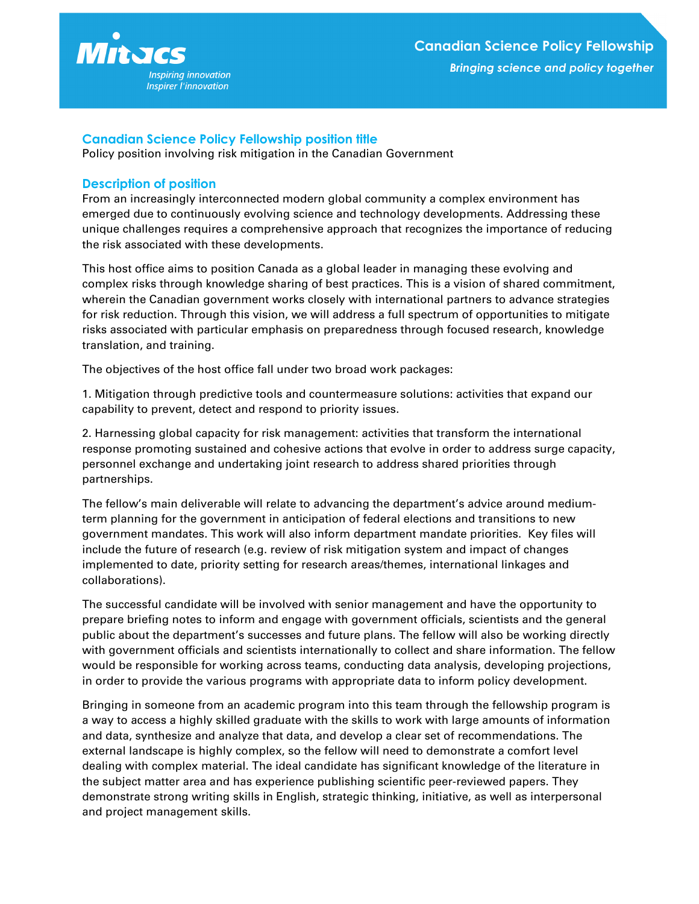

## **Canadian Science Policy Fellowship position title**

Policy position involving risk mitigation in the Canadian Government

## **Description of position**

From an increasingly interconnected modern global community a complex environment has emerged due to continuously evolving science and technology developments. Addressing these unique challenges requires a comprehensive approach that recognizes the importance of reducing the risk associated with these developments.

This host office aims to position Canada as a global leader in managing these evolving and complex risks through knowledge sharing of best practices. This is a vision of shared commitment, wherein the Canadian government works closely with international partners to advance strategies for risk reduction. Through this vision, we will address a full spectrum of opportunities to mitigate risks associated with particular emphasis on preparedness through focused research, knowledge translation, and training.

The objectives of the host office fall under two broad work packages:

1. Mitigation through predictive tools and countermeasure solutions: activities that expand our capability to prevent, detect and respond to priority issues.

2. Harnessing global capacity for risk management: activities that transform the international response promoting sustained and cohesive actions that evolve in order to address surge capacity, personnel exchange and undertaking joint research to address shared priorities through partnerships.

The fellow's main deliverable will relate to advancing the department's advice around mediumterm planning for the government in anticipation of federal elections and transitions to new government mandates. This work will also inform department mandate priorities. Key files will include the future of research (e.g. review of risk mitigation system and impact of changes implemented to date, priority setting for research areas/themes, international linkages and collaborations).

The successful candidate will be involved with senior management and have the opportunity to prepare briefing notes to inform and engage with government officials, scientists and the general public about the department's successes and future plans. The fellow will also be working directly with government officials and scientists internationally to collect and share information. The fellow would be responsible for working across teams, conducting data analysis, developing projections, in order to provide the various programs with appropriate data to inform policy development.

Bringing in someone from an academic program into this team through the fellowship program is a way to access a highly skilled graduate with the skills to work with large amounts of information and data, synthesize and analyze that data, and develop a clear set of recommendations. The external landscape is highly complex, so the fellow will need to demonstrate a comfort level dealing with complex material. The ideal candidate has significant knowledge of the literature in the subject matter area and has experience publishing scientific peer-reviewed papers. They demonstrate strong writing skills in English, strategic thinking, initiative, as well as interpersonal and project management skills.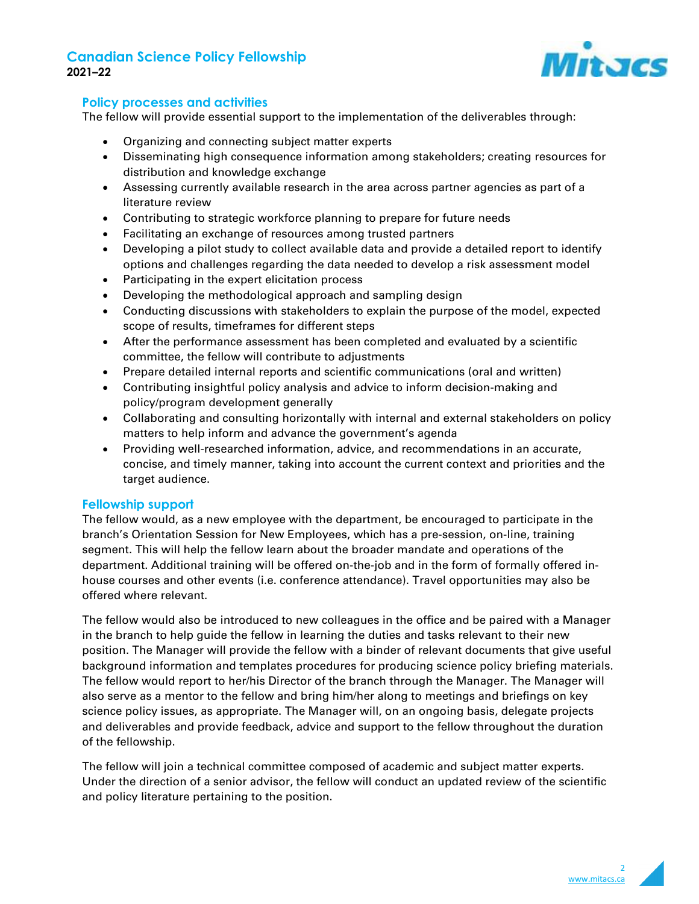# **Canadian Science Policy Fellowship 2021–22**



## **Policy processes and activities**

The fellow will provide essential support to the implementation of the deliverables through:

- Organizing and connecting subject matter experts
- Disseminating high consequence information among stakeholders; creating resources for distribution and knowledge exchange
- Assessing currently available research in the area across partner agencies as part of a literature review
- Contributing to strategic workforce planning to prepare for future needs
- Facilitating an exchange of resources among trusted partners
- Developing a pilot study to collect available data and provide a detailed report to identify options and challenges regarding the data needed to develop a risk assessment model
- Participating in the expert elicitation process
- Developing the methodological approach and sampling design
- Conducting discussions with stakeholders to explain the purpose of the model, expected scope of results, timeframes for different steps
- After the performance assessment has been completed and evaluated by a scientific committee, the fellow will contribute to adjustments
- Prepare detailed internal reports and scientific communications (oral and written)
- Contributing insightful policy analysis and advice to inform decision-making and policy/program development generally
- Collaborating and consulting horizontally with internal and external stakeholders on policy matters to help inform and advance the government's agenda
- Providing well-researched information, advice, and recommendations in an accurate, concise, and timely manner, taking into account the current context and priorities and the target audience.

#### **Fellowship support**

The fellow would, as a new employee with the department, be encouraged to participate in the branch's Orientation Session for New Employees, which has a pre-session, on-line, training segment. This will help the fellow learn about the broader mandate and operations of the department. Additional training will be offered on-the-job and in the form of formally offered inhouse courses and other events (i.e. conference attendance). Travel opportunities may also be offered where relevant.

The fellow would also be introduced to new colleagues in the office and be paired with a Manager in the branch to help guide the fellow in learning the duties and tasks relevant to their new position. The Manager will provide the fellow with a binder of relevant documents that give useful background information and templates procedures for producing science policy briefing materials. The fellow would report to her/his Director of the branch through the Manager. The Manager will also serve as a mentor to the fellow and bring him/her along to meetings and briefings on key science policy issues, as appropriate. The Manager will, on an ongoing basis, delegate projects and deliverables and provide feedback, advice and support to the fellow throughout the duration of the fellowship.

The fellow will join a technical committee composed of academic and subject matter experts. Under the direction of a senior advisor, the fellow will conduct an updated review of the scientific and policy literature pertaining to the position.